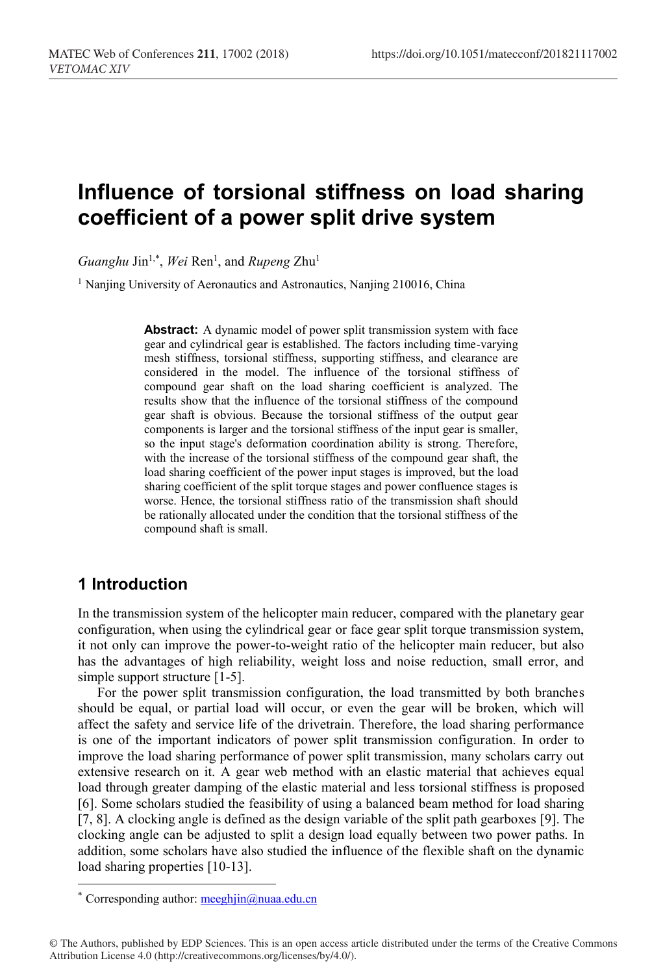# **Influence of torsional stiffness on load sharing coefficient of a power split drive system**

Guanghu Jin<sup>1,\*</sup>, Wei Ren<sup>1</sup>, and *Rupeng Zhu<sup>1</sup>* 

<sup>1</sup> Nanjing University of Aeronautics and Astronautics, Nanjing 210016, China

**Abstract:** A dynamic model of power split transmission system with face gear and cylindrical gear is established. The factors including time-varying mesh stiffness, torsional stiffness, supporting stiffness, and clearance are considered in the model. The influence of the torsional stiffness of compound gear shaft on the load sharing coefficient is analyzed. The results show that the influence of the torsional stiffness of the compound gear shaft is obvious. Because the torsional stiffness of the output gear components is larger and the torsional stiffness of the input gear is smaller, so the input stage's deformation coordination ability is strong. Therefore, with the increase of the torsional stiffness of the compound gear shaft, the load sharing coefficient of the power input stages is improved, but the load sharing coefficient of the split torque stages and power confluence stages is worse. Hence, the torsional stiffness ratio of the transmission shaft should be rationally allocated under the condition that the torsional stiffness of the compound shaft is small.

## **1 Introduction**

 $\overline{a}$ 

In the transmission system of the helicopter main reducer, compared with the planetary gear configuration, when using the cylindrical gear or face gear split torque transmission system, it not only can improve the power-to-weight ratio of the helicopter main reducer, but also has the advantages of high reliability, weight loss and noise reduction, small error, and simple support structure [1-5].

For the power split transmission configuration, the load transmitted by both branches should be equal, or partial load will occur, or even the gear will be broken, which will affect the safety and service life of the drivetrain. Therefore, the load sharing performance is one of the important indicators of power split transmission configuration. In order to improve the load sharing performance of power split transmission, many scholars carry out extensive research on it. A gear web method with an elastic material that achieves equal load through greater damping of the elastic material and less torsional stiffness is proposed [6]. Some scholars studied the feasibility of using a balanced beam method for load sharing [7, 8]. A clocking angle is defined as the design variable of the split path gearboxes [9]. The clocking angle can be adjusted to split a design load equally between two power paths. In addition, some scholars have also studied the influence of the flexible shaft on the dynamic load sharing properties [10-13].

<sup>\*</sup> Corresponding author: meeghjin@nuaa.edu.cn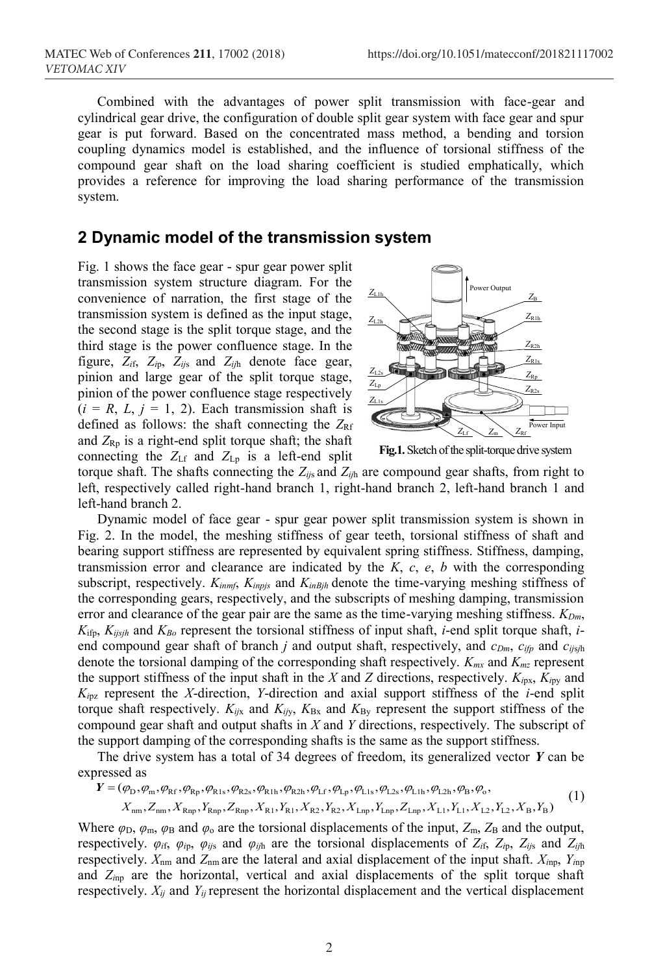Combined with the advantages of power split transmission with face-gear and cylindrical gear drive, the configuration of double split gear system with face gear and spur gear is put forward. Based on the concentrated mass method, a bending and torsion coupling dynamics model is established, and the influence of torsional stiffness of the compound gear shaft on the load sharing coefficient is studied emphatically, which provides a reference for improving the load sharing performance of the transmission system.

### **2 Dynamic model of the transmission system**

Fig. 1 shows the face gear - spur gear power split transmission system structure diagram. For the convenience of narration, the first stage of the transmission system is defined as the input stage, the second stage is the split torque stage, and the third stage is the power confluence stage. In the figure, *Zi*f, *Zi*p, *Zij*<sup>s</sup> and *Zij*<sup>h</sup> denote face gear, pinion and large gear of the split torque stage, pinion of the power confluence stage respectively  $(i = R, L, j = 1, 2)$ . Each transmission shaft is defined as follows: the shaft connecting the  $Z_{\text{RF}}$ and  $Z_{\text{Rp}}$  is a right-end split torque shaft; the shaft connecting the  $Z_{Lf}$  and  $Z_{Lp}$  is a left-end split



**Fig.1.**Sketch of the split-torque drive system

torque shaft. The shafts connecting the *Zij*<sup>s</sup> and *Zij*<sup>h</sup> are compound gear shafts, from right to left, respectively called right-hand branch 1, right-hand branch 2, left-hand branch 1 and left-hand branch 2.

Dynamic model of face gear - spur gear power split transmission system is shown in Fig. 2. In the model, the meshing stiffness of gear teeth, torsional stiffness of shaft and bearing support stiffness are represented by equivalent spring stiffness. Stiffness, damping, transmission error and clearance are indicated by the  $K$ ,  $c$ ,  $e$ ,  $b$  with the corresponding subscript, respectively. *Kinmf*, *Kinpjs* and *KinBjh* denote the time-varying meshing stiffness of the corresponding gears, respectively, and the subscripts of meshing damping, transmission error and clearance of the gear pair are the same as the time-varying meshing stiffness.  $K_{Dm}$ ,  $K_{ifp}$ ,  $K_{i,jsh}$  and  $K_{Bo}$  represent the torsional stiffness of input shaft, *i*-end split torque shaft, *i*end compound gear shaft of branch *j* and output shaft, respectively, and  $c_{Dm}$ ,  $c_{ifp}$  and  $c_{ifsh}$ denote the torsional damping of the corresponding shaft respectively. *Kmx* and *Kmz* represent the support stiffness of the input shaft in the *X* and *Z* directions, respectively.  $K_{ipx}$ ,  $K_{ipy}$  and *Ki*pz represent the *X*-direction, *Y*-direction and axial support stiffness of the *i*-end split torque shaft respectively.  $K_{ijx}$  and  $K_{ijy}$ ,  $K_{Bx}$  and  $K_{By}$  represent the support stiffness of the compound gear shaft and output shafts in *X* and *Y* directions, respectively. The subscript of the support damping of the corresponding shafts is the same as the support stiffness.

The drive system has a total of 34 degrees of freedom, its generalized vector *Y* can be expressed as

$$
Y = (\varphi_{\rm D}, \varphi_{\rm m}, \varphi_{\rm RF}, \varphi_{\rm Rp}, \varphi_{\rm R1s}, \varphi_{\rm R2s}, \varphi_{\rm R1h}, \varphi_{\rm R2h}, \varphi_{\rm Lf}, \varphi_{\rm Lp}, \varphi_{\rm L1s}, \varphi_{\rm L2s}, \varphi_{\rm L1h}, \varphi_{\rm L2h}, \varphi_{\rm B}, \varphi_{\rm o},
$$
  
\n
$$
X_{\rm nm}, Z_{\rm nm}, X_{\rm Rnp}, Y_{\rm Rnp}, Z_{\rm Rnp}, X_{\rm R1}, Y_{\rm R1}, X_{\rm R2}, Y_{\rm R2}, X_{\rm Lnp}, Y_{\rm Lnp}, Z_{\rm Lnp}, X_{\rm L1}, Y_{\rm L1}, X_{\rm L2}, Y_{\rm L2}, X_{\rm B}, Y_{\rm B})
$$
\n(1)

Where  $\varphi_D$ ,  $\varphi_m$ ,  $\varphi_B$  and  $\varphi_o$  are the torsional displacements of the input,  $Z_m$ ,  $Z_B$  and the output, respectively.  $\varphi_{if}$ ,  $\varphi_{ip}$ ,  $\varphi_{ijs}$  and  $\varphi_{ijh}$  are the torsional displacements of  $Z_{if}$ ,  $Z_{ip}$ ,  $Z_{ijs}$  and  $Z_{ijh}$ respectively. *X*nm and *Z*nm are the lateral and axial displacement of the input shaft. *Xi*np, *Yi*np and *Zi*np are the horizontal, vertical and axial displacements of the split torque shaft respectively. *Xij* and *Yij* represent the horizontal displacement and the vertical displacement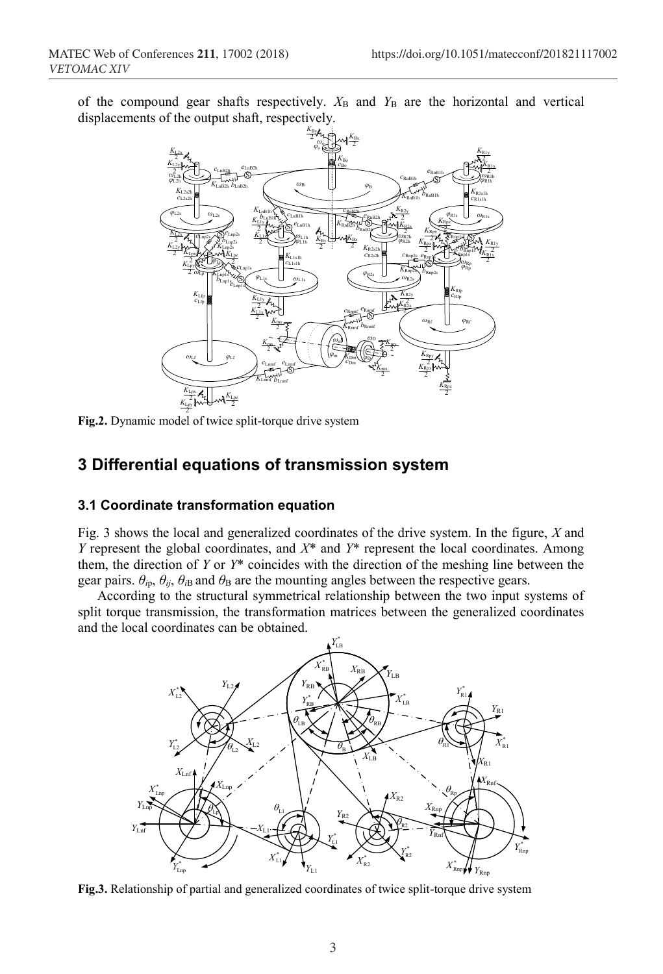of the compound gear shafts respectively.  $X_B$  and  $Y_B$  are the horizontal and vertical displacements of the output shaft, respectively.



2 **Fig.2.** Dynamic model of twice split-torque drive system

# **3 Differential equations of transmission system**

## **3.1 Coordinate transformation equation**

Fig. 3 shows the local and generalized coordinates of the drive system. In the figure, *X* and *Y* represent the global coordinates, and *X*\* and *Y*\* represent the local coordinates. Among them, the direction of *Y* or *Y*\* coincides with the direction of the meshing line between the gear pairs.  $\theta_{ip}$ ,  $\theta_{ij}$ ,  $\theta_{iB}$  and  $\theta_B$  are the mounting angles between the respective gears.

According to the structural symmetrical relationship between the two input systems of split torque transmission, the transformation matrices between the generalized coordinates and the local coordinates can be obtained.



**Fig.3.** Relationship of partial and generalized coordinates of twice split-torque drive system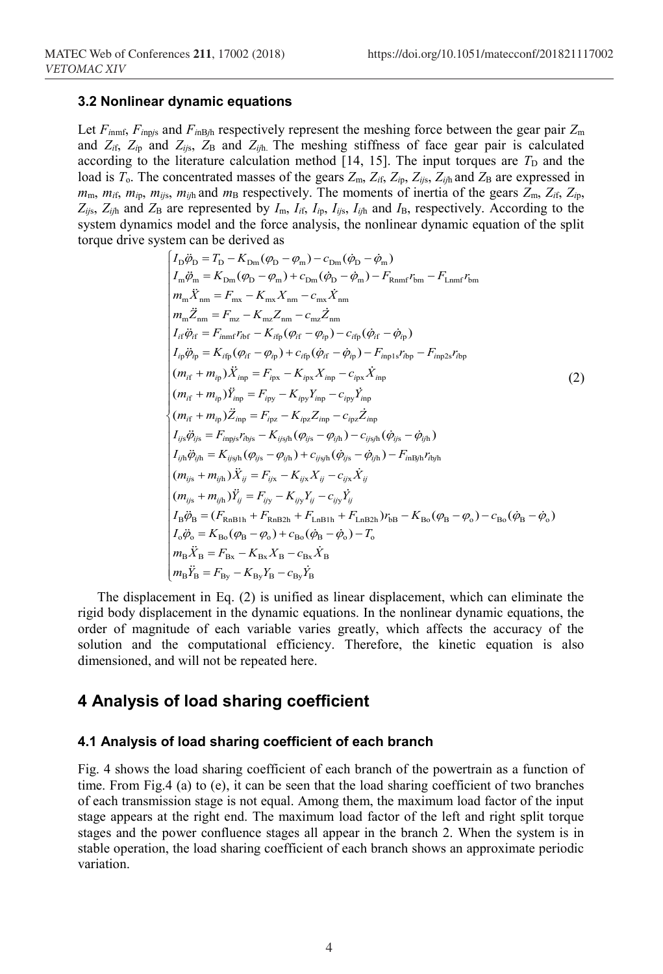#### **3.2 Nonlinear dynamic equations**

Let  $F_{imnf}$ ,  $F_{imp/s}$  and  $F_{inBjh}$  respectively represent the meshing force between the gear pair  $Z_m$ and  $Z_{if}$ ,  $Z_{ip}$  and  $Z_{ijs}$ ,  $Z_B$  and  $Z_{ijh}$ . The meshing stiffness of face gear pair is calculated according to the literature calculation method  $[14, 15]$ . The input torques are  $T<sub>D</sub>$  and the load is  $T_o$ . The concentrated masses of the gears  $Z_m$ ,  $Z_{li}$ ,  $Z_{li}$ ,  $Z_{ij}$ ,  $Z_{ij}$  and  $Z_B$  are expressed in  $m_{\rm m}$ ,  $m_{\rm if}$ ,  $m_{\rm io}$ ,  $m_{\rm if}$ ,  $m_{\rm if}$  and  $m_{\rm B}$  respectively. The moments of inertia of the gears  $Z_{\rm m}$ ,  $Z_{\rm if}$ ,  $Z_{\rm ib}$ ,  $Z_{ijs}$ ,  $Z_{ijh}$  and  $Z_B$  are represented by  $I_m$ ,  $I_{if}$ ,  $I_{ip}$ ,  $I_{ijs}$ ,  $I_{ijh}$  and  $I_B$ , respectively. According to the system dynamics model and the force analysis, the nonlinear dynamic equation of the split torque drive system can be derived as

$$
\begin{cases}\nI_{\rm D}\ddot{\phi}_{\rm D} = T_{\rm D} - K_{\rm Dm}(\varphi_{\rm D} - \varphi_{\rm m}) - c_{\rm Dm}(\dot{\varphi}_{\rm D} - \dot{\varphi}_{\rm m}) \\
I_{\rm m}\ddot{\varphi}_{\rm m} = K_{\rm Dm}(\varphi_{\rm D} - \varphi_{\rm m}) + c_{\rm Dm}(\dot{\varphi}_{\rm D} - \dot{\varphi}_{\rm m}) - F_{\rm Rnmf}r_{\rm bm} - F_{\rm Lnmf}r_{\rm bm} \\
m_{\rm m}\ddot{X}_{\rm nm} = F_{\rm mx} - K_{\rm mx}X_{\rm nm} - c_{\rm mx}\dot{X}_{\rm nm} \\
m_{\rm m}\ddot{Z}_{\rm nm} = F_{\rm mz} - K_{\rm mz}Z_{\rm nm} - c_{\rm mx}\dot{Z}_{\rm nm} \\
I_{\rm ff}\ddot{\varphi}_{\rm ff} = F_{\rm innf}r_{\rm bf} - K_{\rm frp}(\varphi_{\rm ff} - \varphi_{\rm fp}) - c_{\rm frp}(\dot{\varphi}_{\rm ff} - \dot{\varphi}_{\rm fp}) \\
I_{\rm p}\ddot{\varphi}_{\rm ip} = K_{\rm frp}(\varphi_{\rm ff} - \varphi_{\rm fp}) + c_{\rm frp}(\dot{\varphi}_{\rm ff} - \dot{\varphi}_{\rm ip}) - F_{\rm inp1s}r_{\rm bp} - F_{\rm inp2s}r_{\rm bp} \\
(m_{\rm ff} + m_{\rm ip})\ddot{X}_{\rm mp} = F_{\rm ipx} - K_{\rm ipx}\dot{X}_{\rm mp} - c_{\rm ipx}\dot{X}_{\rm np} \\
(m_{\rm ff} + m_{\rm ip})\ddot{Z}_{\rm inp} = F_{\rm ipz} - K_{\rm ipz}\dot{Z}_{\rm np} - c_{\rm ipz}\dot{Z}_{\rm np} \\
I_{\rm yi}\ddot{\varphi}_{\rm ys} = F_{\rm mps}r_{\rm rbs} - K_{\rm iys1}(\varphi_{\rm ys} - \varphi_{\rm yh}) - c_{\rm ysh}(\dot{\varphi}_{\rm ys} - \dot{\varphi}_{\rm yh}) \\
I_{\rm yi}\ddot{\varphi}_{\rm ys} = F_{\rm npys}r_{\rm hys} - K_{\rm iys1}(\varphi_{\rm ys} - \varphi_{\rm iyh}) - F_{\rm mB}r
$$

The displacement in Eq. (2) is unified as linear displacement, which can eliminate the rigid body displacement in the dynamic equations. In the nonlinear dynamic equations, the order of magnitude of each variable varies greatly, which affects the accuracy of the solution and the computational efficiency. Therefore, the kinetic equation is also dimensioned, and will not be repeated here.

## **4 Analysis of load sharing coefficient**

#### **4.1 Analysis of load sharing coefficient of each branch**

Fig. 4 shows the load sharing coefficient of each branch of the powertrain as a function of time. From Fig.4 (a) to (e), it can be seen that the load sharing coefficient of two branches of each transmission stage is not equal. Among them, the maximum load factor of the input stage appears at the right end. The maximum load factor of the left and right split torque stages and the power confluence stages all appear in the branch 2. When the system is in stable operation, the load sharing coefficient of each branch shows an approximate periodic variation.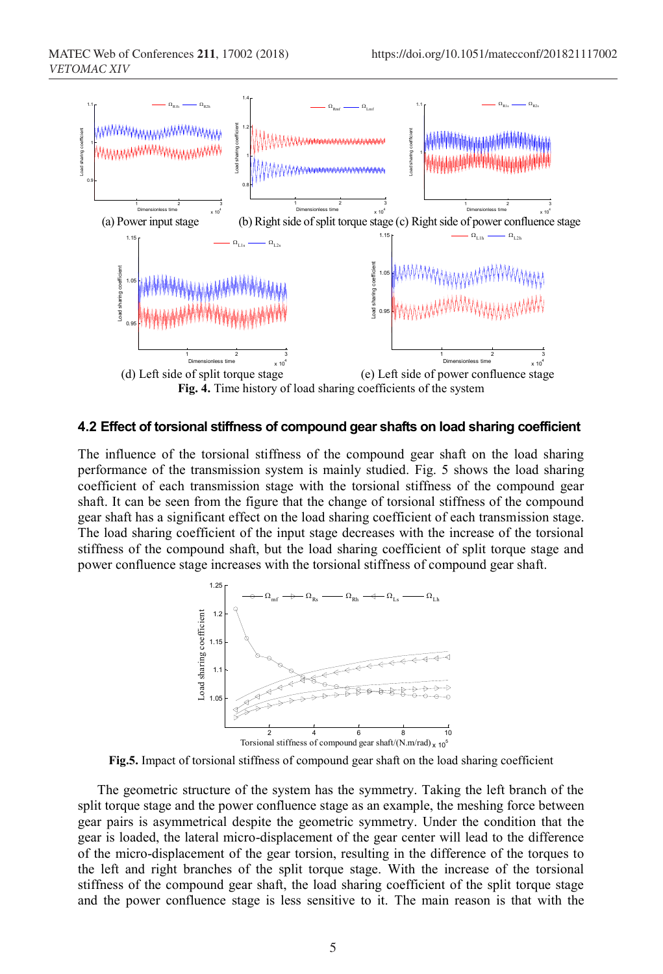

#### **4.2 Effect of torsional stiffness of compound gear shafts on load sharing coefficient**

The influence of the torsional stiffness of the compound gear shaft on the load sharing performance of the transmission system is mainly studied. Fig. 5 shows the load sharing coefficient of each transmission stage with the torsional stiffness of the compound gear shaft. It can be seen from the figure that the change of torsional stiffness of the compound gear shaft has a significant effect on the load sharing coefficient of each transmission stage. The load sharing coefficient of the input stage decreases with the increase of the torsional stiffness of the compound shaft, but the load sharing coefficient of split torque stage and power confluence stage increases with the torsional stiffness of compound gear shaft.



**Fig.5.** Impact of torsional stiffness of compound gear shaft on the load sharing coefficient

The geometric structure of the system has the symmetry. Taking the left branch of the split torque stage and the power confluence stage as an example, the meshing force between gear pairs is asymmetrical despite the geometric symmetry. Under the condition that the gear is loaded, the lateral micro-displacement of the gear center will lead to the difference of the micro-displacement of the gear torsion, resulting in the difference of the torques to the left and right branches of the split torque stage. With the increase of the torsional stiffness of the compound gear shaft, the load sharing coefficient of the split torque stage and the power confluence stage is less sensitive to it. The main reason is that with the